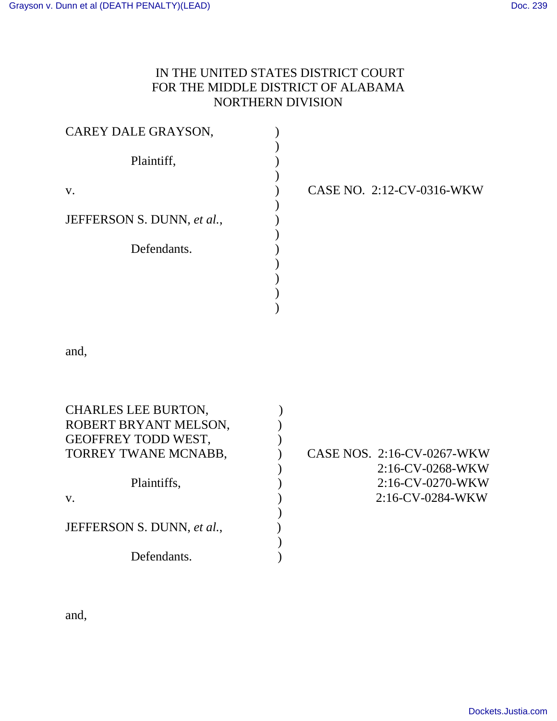## IN THE UNITED STATES DISTRICT COURT FOR THE MIDDLE DISTRICT OF ALABAMA NORTHERN DIVISION

| CAREY DALE GRAYSON,        |                           |
|----------------------------|---------------------------|
| Plaintiff,                 |                           |
| V.                         | CASE NO. 2:12-CV-0316-WKW |
| JEFFERSON S. DUNN, et al., |                           |
| Defendants.                |                           |
|                            |                           |
|                            |                           |
|                            |                           |

and,

| <b>CHARLES LEE BURTON,</b><br>ROBERT BRYANT MELSON,<br>GEOFFREY TODD WEST, |                            |
|----------------------------------------------------------------------------|----------------------------|
| TORREY TWANE MCNABB,                                                       | CASE NOS. 2:16-CV-0267-WKW |
|                                                                            | $2:16$ -CV-0268-WKW        |
| Plaintiffs,                                                                | 2:16-CV-0270-WKW           |
| V.                                                                         | 2:16-CV-0284-WKW           |
|                                                                            |                            |
| JEFFERSON S. DUNN, et al.,                                                 |                            |
|                                                                            |                            |
| Defendants.                                                                |                            |

and,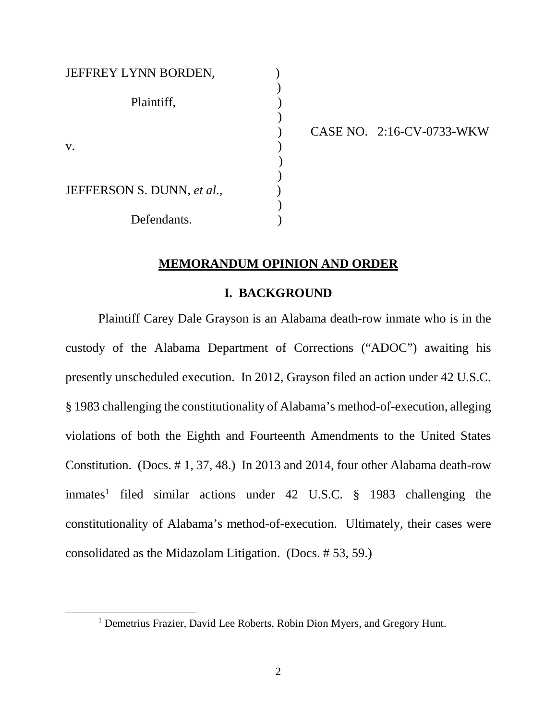| JEFFREY LYNN BORDEN,       |  |
|----------------------------|--|
| Plaintiff,                 |  |
|                            |  |
| V.                         |  |
|                            |  |
| JEFFERSON S. DUNN, et al., |  |
| Defendants.                |  |

<span id="page-1-0"></span> $\overline{a}$ 

) CASE NO. 2:16-CV-0733-WKW

### **MEMORANDUM OPINION AND ORDER**

#### **I. BACKGROUND**

Plaintiff Carey Dale Grayson is an Alabama death-row inmate who is in the custody of the Alabama Department of Corrections ("ADOC") awaiting his presently unscheduled execution. In 2012, Grayson filed an action under 42 U.S.C. § 1983 challenging the constitutionality of Alabama's method-of-execution, alleging violations of both the Eighth and Fourteenth Amendments to the United States Constitution. (Docs. # 1, 37, 48.) In 2013 and 2014, four other Alabama death-row inmates<sup>[1](#page-1-0)</sup> filed similar actions under 42 U.S.C.  $\S$  1983 challenging the constitutionality of Alabama's method-of-execution. Ultimately, their cases were consolidated as the Midazolam Litigation. (Docs. # 53, 59.)

<sup>&</sup>lt;sup>1</sup> Demetrius Frazier, David Lee Roberts, Robin Dion Myers, and Gregory Hunt.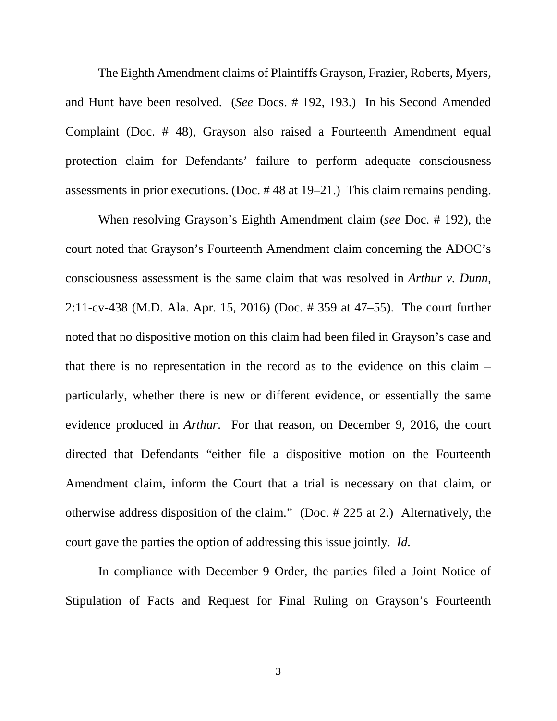The Eighth Amendment claims of Plaintiffs Grayson, Frazier, Roberts, Myers, and Hunt have been resolved. (*See* Docs. # 192, 193.) In his Second Amended Complaint (Doc. # 48), Grayson also raised a Fourteenth Amendment equal protection claim for Defendants' failure to perform adequate consciousness assessments in prior executions. (Doc. # 48 at 19–21.) This claim remains pending.

When resolving Grayson's Eighth Amendment claim (*see* Doc. # 192), the court noted that Grayson's Fourteenth Amendment claim concerning the ADOC's consciousness assessment is the same claim that was resolved in *Arthur v. Dunn*, 2:11-cv-438 (M.D. Ala. Apr. 15, 2016) (Doc. # 359 at 47–55). The court further noted that no dispositive motion on this claim had been filed in Grayson's case and that there is no representation in the record as to the evidence on this claim – particularly, whether there is new or different evidence, or essentially the same evidence produced in *Arthur*. For that reason, on December 9, 2016, the court directed that Defendants "either file a dispositive motion on the Fourteenth Amendment claim, inform the Court that a trial is necessary on that claim, or otherwise address disposition of the claim." (Doc. # 225 at 2.) Alternatively, the court gave the parties the option of addressing this issue jointly. *Id.*

In compliance with December 9 Order, the parties filed a Joint Notice of Stipulation of Facts and Request for Final Ruling on Grayson's Fourteenth

3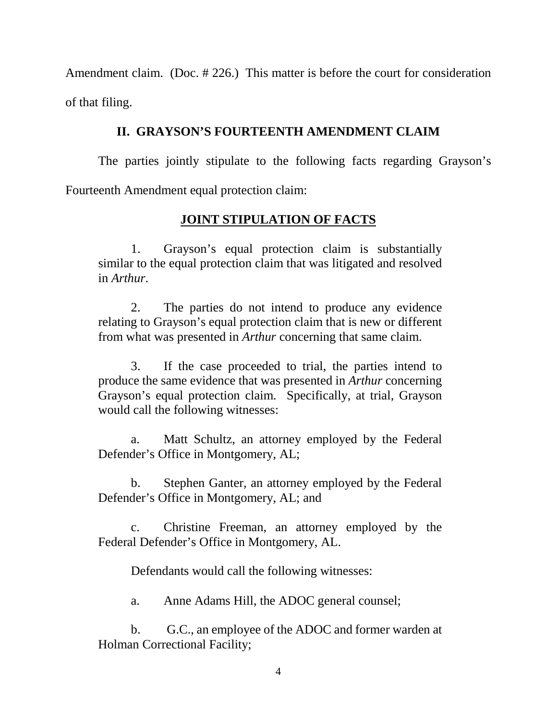Amendment claim. (Doc. # 226.) This matter is before the court for consideration of that filing.

## **II. GRAYSON'S FOURTEENTH AMENDMENT CLAIM**

The parties jointly stipulate to the following facts regarding Grayson's Fourteenth Amendment equal protection claim:

# **JOINT STIPULATION OF FACTS**

1. Grayson's equal protection claim is substantially similar to the equal protection claim that was litigated and resolved in *Arthur*.

2. The parties do not intend to produce any evidence relating to Grayson's equal protection claim that is new or different from what was presented in *Arthur* concerning that same claim.

3. If the case proceeded to trial, the parties intend to produce the same evidence that was presented in *Arthur* concerning Grayson's equal protection claim. Specifically, at trial, Grayson would call the following witnesses:

a. Matt Schultz, an attorney employed by the Federal Defender's Office in Montgomery, AL;

b. Stephen Ganter, an attorney employed by the Federal Defender's Office in Montgomery, AL; and

c. Christine Freeman, an attorney employed by the Federal Defender's Office in Montgomery, AL.

Defendants would call the following witnesses:

a. Anne Adams Hill, the ADOC general counsel;

b. G.C., an employee of the ADOC and former warden at Holman Correctional Facility;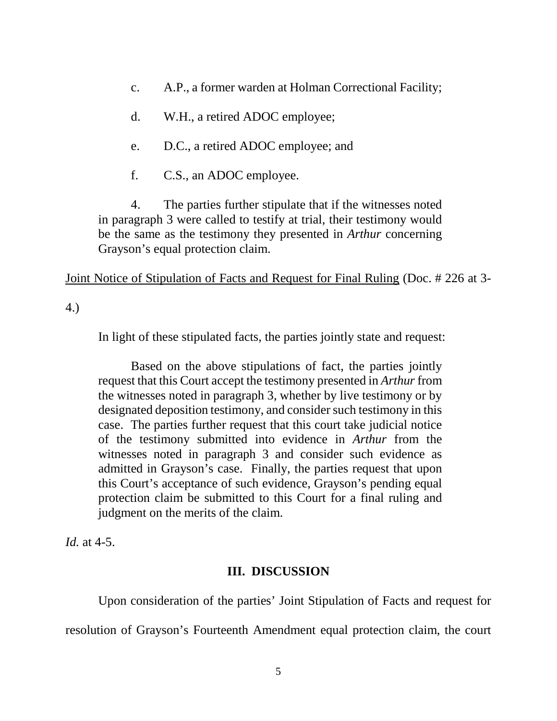- c. A.P., a former warden at Holman Correctional Facility;
- d. W.H., a retired ADOC employee;
- e. D.C., a retired ADOC employee; and
- f. C.S., an ADOC employee.

4. The parties further stipulate that if the witnesses noted in paragraph 3 were called to testify at trial, their testimony would be the same as the testimony they presented in *Arthur* concerning Grayson's equal protection claim.

Joint Notice of Stipulation of Facts and Request for Final Ruling (Doc. # 226 at 3-

4.)

In light of these stipulated facts, the parties jointly state and request:

Based on the above stipulations of fact, the parties jointly request that this Court accept the testimony presented in *Arthur* from the witnesses noted in paragraph 3, whether by live testimony or by designated deposition testimony, and consider such testimony in this case. The parties further request that this court take judicial notice of the testimony submitted into evidence in *Arthur* from the witnesses noted in paragraph 3 and consider such evidence as admitted in Grayson's case. Finally, the parties request that upon this Court's acceptance of such evidence, Grayson's pending equal protection claim be submitted to this Court for a final ruling and judgment on the merits of the claim.

*Id.* at 4-5.

### **III. DISCUSSION**

Upon consideration of the parties' Joint Stipulation of Facts and request for resolution of Grayson's Fourteenth Amendment equal protection claim, the court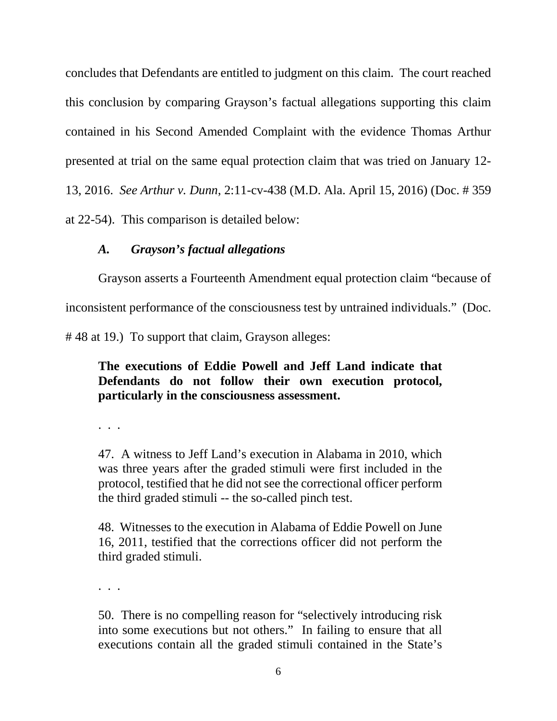concludes that Defendants are entitled to judgment on this claim. The court reached this conclusion by comparing Grayson's factual allegations supporting this claim contained in his Second Amended Complaint with the evidence Thomas Arthur presented at trial on the same equal protection claim that was tried on January 12- 13, 2016. *See Arthur v. Dunn*, 2:11-cv-438 (M.D. Ala. April 15, 2016) (Doc. # 359 at 22-54). This comparison is detailed below:

### *A. Grayson's factual allegations*

Grayson asserts a Fourteenth Amendment equal protection claim "because of inconsistent performance of the consciousness test by untrained individuals." (Doc.

# 48 at 19.) To support that claim, Grayson alleges:

## **The executions of Eddie Powell and Jeff Land indicate that Defendants do not follow their own execution protocol, particularly in the consciousness assessment.**

. . .

47. A witness to Jeff Land's execution in Alabama in 2010, which was three years after the graded stimuli were first included in the protocol, testified that he did not see the correctional officer perform the third graded stimuli -- the so-called pinch test.

48. Witnesses to the execution in Alabama of Eddie Powell on June 16, 2011, testified that the corrections officer did not perform the third graded stimuli.

. . .

50. There is no compelling reason for "selectively introducing risk into some executions but not others." In failing to ensure that all executions contain all the graded stimuli contained in the State's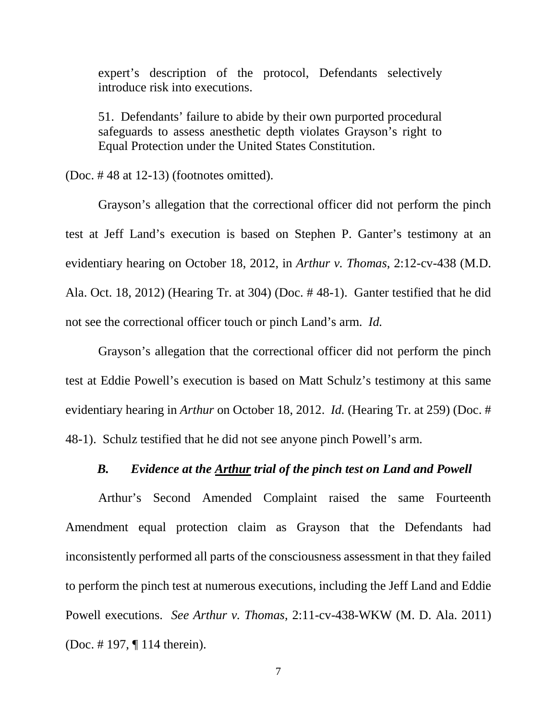expert's description of the protocol, Defendants selectively introduce risk into executions.

51. Defendants' failure to abide by their own purported procedural safeguards to assess anesthetic depth violates Grayson's right to Equal Protection under the United States Constitution.

(Doc. # 48 at 12-13) (footnotes omitted).

Grayson's allegation that the correctional officer did not perform the pinch test at Jeff Land's execution is based on Stephen P. Ganter's testimony at an evidentiary hearing on October 18, 2012, in *Arthur v. Thomas*, 2:12-cv-438 (M.D. Ala. Oct. 18, 2012) (Hearing Tr. at 304) (Doc. # 48-1). Ganter testified that he did not see the correctional officer touch or pinch Land's arm. *Id.* 

Grayson's allegation that the correctional officer did not perform the pinch test at Eddie Powell's execution is based on Matt Schulz's testimony at this same evidentiary hearing in *Arthur* on October 18, 2012. *Id.* (Hearing Tr. at 259) (Doc. # 48-1). Schulz testified that he did not see anyone pinch Powell's arm.

### *B. Evidence at the Arthur trial of the pinch test on Land and Powell*

Arthur's Second Amended Complaint raised the same Fourteenth Amendment equal protection claim as Grayson that the Defendants had inconsistently performed all parts of the consciousness assessment in that they failed to perform the pinch test at numerous executions, including the Jeff Land and Eddie Powell executions. *See Arthur v. Thomas*, 2:11-cv-438-WKW (M. D. Ala. 2011) (Doc. # 197, ¶ 114 therein).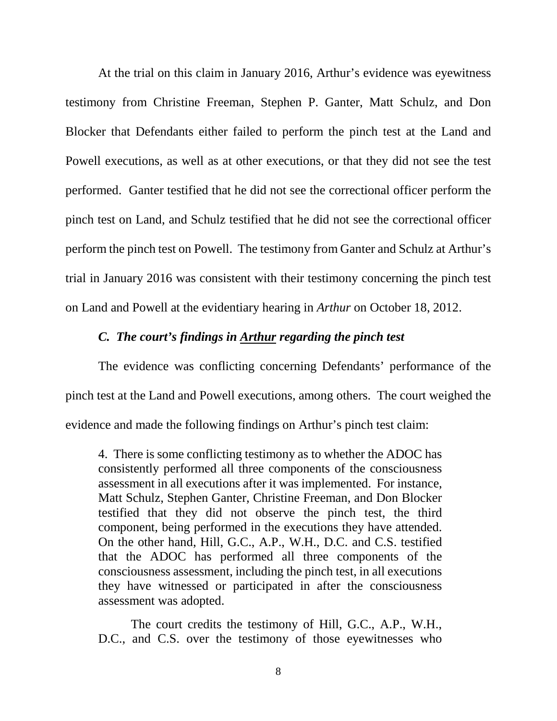At the trial on this claim in January 2016, Arthur's evidence was eyewitness testimony from Christine Freeman, Stephen P. Ganter, Matt Schulz, and Don Blocker that Defendants either failed to perform the pinch test at the Land and Powell executions, as well as at other executions, or that they did not see the test performed. Ganter testified that he did not see the correctional officer perform the pinch test on Land, and Schulz testified that he did not see the correctional officer perform the pinch test on Powell. The testimony from Ganter and Schulz at Arthur's trial in January 2016 was consistent with their testimony concerning the pinch test on Land and Powell at the evidentiary hearing in *Arthur* on October 18, 2012.

### *C. The court's findings in Arthur regarding the pinch test*

The evidence was conflicting concerning Defendants' performance of the pinch test at the Land and Powell executions, among others. The court weighed the evidence and made the following findings on Arthur's pinch test claim:

4. There is some conflicting testimony as to whether the ADOC has consistently performed all three components of the consciousness assessment in all executions after it was implemented. For instance, Matt Schulz, Stephen Ganter, Christine Freeman, and Don Blocker testified that they did not observe the pinch test, the third component, being performed in the executions they have attended. On the other hand, Hill, G.C., A.P., W.H., D.C. and C.S. testified that the ADOC has performed all three components of the consciousness assessment, including the pinch test, in all executions they have witnessed or participated in after the consciousness assessment was adopted.

The court credits the testimony of Hill, G.C., A.P., W.H., D.C., and C.S. over the testimony of those eyewitnesses who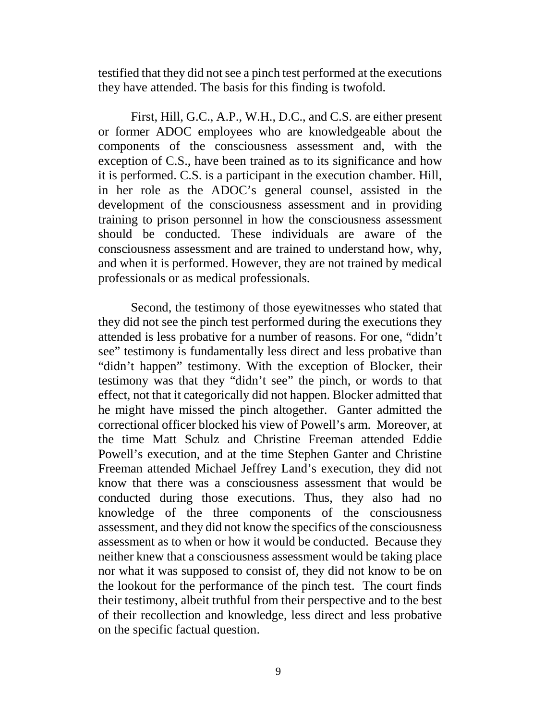testified that they did not see a pinch test performed at the executions they have attended. The basis for this finding is twofold.

First, Hill, G.C., A.P., W.H., D.C., and C.S. are either present or former ADOC employees who are knowledgeable about the components of the consciousness assessment and, with the exception of C.S., have been trained as to its significance and how it is performed. C.S. is a participant in the execution chamber. Hill, in her role as the ADOC's general counsel, assisted in the development of the consciousness assessment and in providing training to prison personnel in how the consciousness assessment should be conducted. These individuals are aware of the consciousness assessment and are trained to understand how, why, and when it is performed. However, they are not trained by medical professionals or as medical professionals.

Second, the testimony of those eyewitnesses who stated that they did not see the pinch test performed during the executions they attended is less probative for a number of reasons. For one, "didn't see" testimony is fundamentally less direct and less probative than "didn't happen" testimony. With the exception of Blocker, their testimony was that they "didn't see" the pinch, or words to that effect, not that it categorically did not happen. Blocker admitted that he might have missed the pinch altogether. Ganter admitted the correctional officer blocked his view of Powell's arm. Moreover, at the time Matt Schulz and Christine Freeman attended Eddie Powell's execution, and at the time Stephen Ganter and Christine Freeman attended Michael Jeffrey Land's execution, they did not know that there was a consciousness assessment that would be conducted during those executions. Thus, they also had no knowledge of the three components of the consciousness assessment, and they did not know the specifics of the consciousness assessment as to when or how it would be conducted. Because they neither knew that a consciousness assessment would be taking place nor what it was supposed to consist of, they did not know to be on the lookout for the performance of the pinch test. The court finds their testimony, albeit truthful from their perspective and to the best of their recollection and knowledge, less direct and less probative on the specific factual question.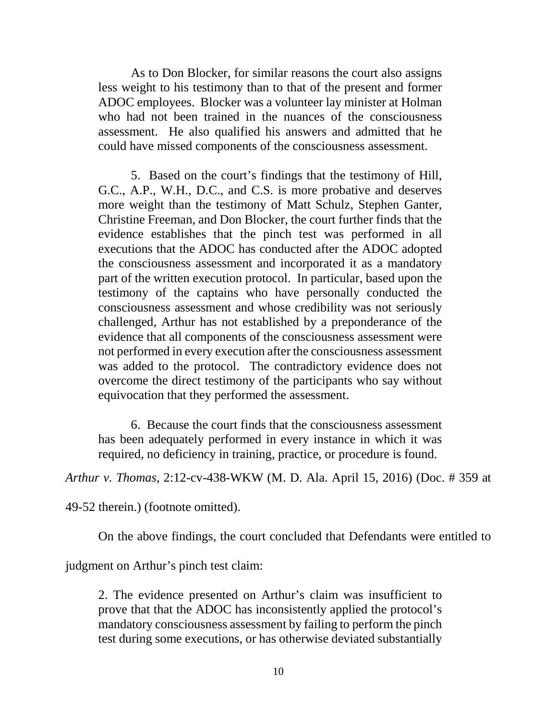As to Don Blocker, for similar reasons the court also assigns less weight to his testimony than to that of the present and former ADOC employees. Blocker was a volunteer lay minister at Holman who had not been trained in the nuances of the consciousness assessment. He also qualified his answers and admitted that he could have missed components of the consciousness assessment.

5. Based on the court's findings that the testimony of Hill, G.C., A.P., W.H., D.C., and C.S. is more probative and deserves more weight than the testimony of Matt Schulz, Stephen Ganter, Christine Freeman, and Don Blocker, the court further finds that the evidence establishes that the pinch test was performed in all executions that the ADOC has conducted after the ADOC adopted the consciousness assessment and incorporated it as a mandatory part of the written execution protocol. In particular, based upon the testimony of the captains who have personally conducted the consciousness assessment and whose credibility was not seriously challenged, Arthur has not established by a preponderance of the evidence that all components of the consciousness assessment were not performed in every execution after the consciousness assessment was added to the protocol. The contradictory evidence does not overcome the direct testimony of the participants who say without equivocation that they performed the assessment.

6. Because the court finds that the consciousness assessment has been adequately performed in every instance in which it was required, no deficiency in training, practice, or procedure is found.

*Arthur v. Thomas*, 2:12-cv-438-WKW (M. D. Ala. April 15, 2016) (Doc. # 359 at

49-52 therein.) (footnote omitted).

On the above findings, the court concluded that Defendants were entitled to

judgment on Arthur's pinch test claim:

2. The evidence presented on Arthur's claim was insufficient to prove that that the ADOC has inconsistently applied the protocol's mandatory consciousness assessment by failing to perform the pinch test during some executions, or has otherwise deviated substantially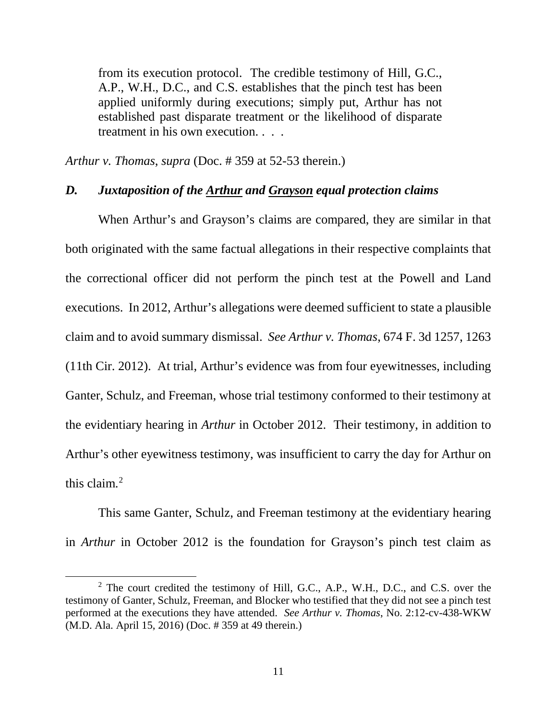from its execution protocol. The credible testimony of Hill, G.C., A.P., W.H., D.C., and C.S. establishes that the pinch test has been applied uniformly during executions; simply put, Arthur has not established past disparate treatment or the likelihood of disparate treatment in his own execution. . . .

*Arthur v. Thomas*, *supra* (Doc. # 359 at 52-53 therein.)

#### *D. Juxtaposition of the Arthur and Grayson equal protection claims*

When Arthur's and Grayson's claims are compared, they are similar in that both originated with the same factual allegations in their respective complaints that the correctional officer did not perform the pinch test at the Powell and Land executions. In 2012, Arthur's allegations were deemed sufficient to state a plausible claim and to avoid summary dismissal. *See Arthur v. Thomas*, 674 F. 3d 1257, 1263 (11th Cir. 2012). At trial, Arthur's evidence was from four eyewitnesses, including Ganter, Schulz, and Freeman, whose trial testimony conformed to their testimony at the evidentiary hearing in *Arthur* in October 2012. Their testimony, in addition to Arthur's other eyewitness testimony, was insufficient to carry the day for Arthur on this claim. $<sup>2</sup>$  $<sup>2</sup>$  $<sup>2</sup>$ </sup>

This same Ganter, Schulz, and Freeman testimony at the evidentiary hearing in *Arthur* in October 2012 is the foundation for Grayson's pinch test claim as

 $\overline{a}$ 

<span id="page-10-0"></span><sup>&</sup>lt;sup>2</sup> The court credited the testimony of Hill, G.C., A.P., W.H., D.C., and C.S. over the testimony of Ganter, Schulz, Freeman, and Blocker who testified that they did not see a pinch test performed at the executions they have attended. *See Arthur v. Thomas*, No. 2:12-cv-438-WKW (M.D. Ala. April 15, 2016) (Doc. # 359 at 49 therein.)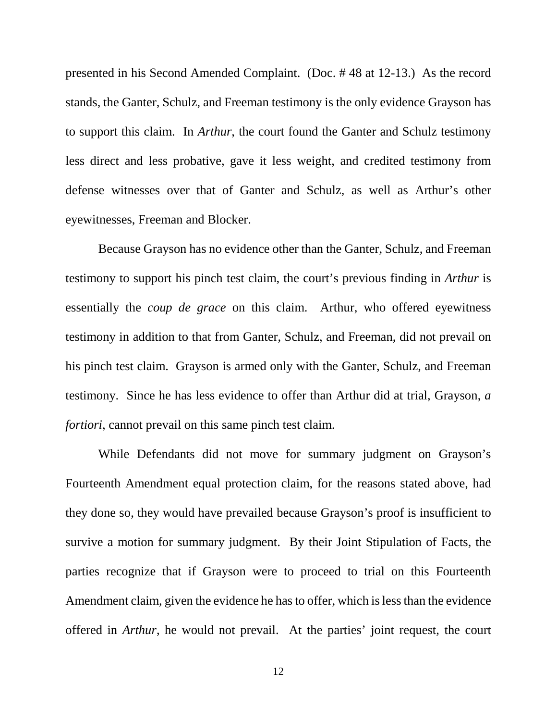presented in his Second Amended Complaint. (Doc. # 48 at 12-13.) As the record stands, the Ganter, Schulz, and Freeman testimony is the only evidence Grayson has to support this claim. In *Arthur*, the court found the Ganter and Schulz testimony less direct and less probative, gave it less weight, and credited testimony from defense witnesses over that of Ganter and Schulz, as well as Arthur's other eyewitnesses, Freeman and Blocker.

Because Grayson has no evidence other than the Ganter, Schulz, and Freeman testimony to support his pinch test claim, the court's previous finding in *Arthur* is essentially the *coup de grace* on this claim. Arthur, who offered eyewitness testimony in addition to that from Ganter, Schulz, and Freeman, did not prevail on his pinch test claim. Grayson is armed only with the Ganter, Schulz, and Freeman testimony. Since he has less evidence to offer than Arthur did at trial, Grayson, *a fortiori*, cannot prevail on this same pinch test claim.

While Defendants did not move for summary judgment on Grayson's Fourteenth Amendment equal protection claim, for the reasons stated above, had they done so, they would have prevailed because Grayson's proof is insufficient to survive a motion for summary judgment. By their Joint Stipulation of Facts, the parties recognize that if Grayson were to proceed to trial on this Fourteenth Amendment claim, given the evidence he has to offer, which is less than the evidence offered in *Arthur*, he would not prevail. At the parties' joint request, the court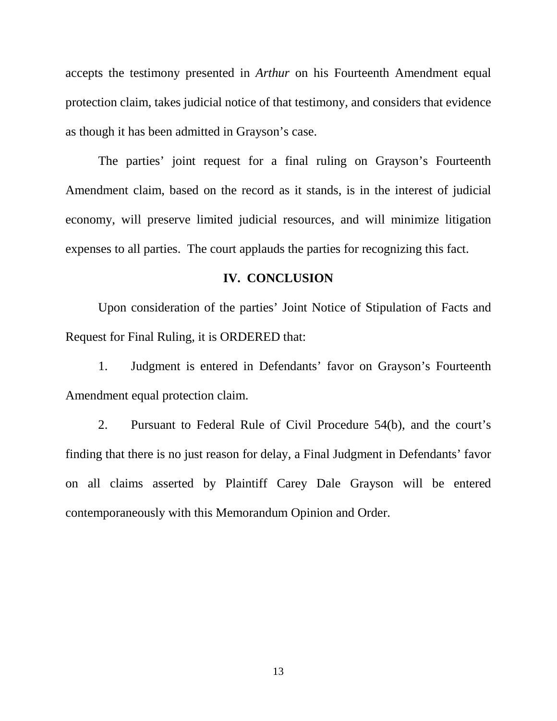accepts the testimony presented in *Arthur* on his Fourteenth Amendment equal protection claim, takes judicial notice of that testimony, and considers that evidence as though it has been admitted in Grayson's case.

The parties' joint request for a final ruling on Grayson's Fourteenth Amendment claim, based on the record as it stands, is in the interest of judicial economy, will preserve limited judicial resources, and will minimize litigation expenses to all parties. The court applauds the parties for recognizing this fact.

#### **IV. CONCLUSION**

Upon consideration of the parties' Joint Notice of Stipulation of Facts and Request for Final Ruling, it is ORDERED that:

1. Judgment is entered in Defendants' favor on Grayson's Fourteenth Amendment equal protection claim.

 2. Pursuant to Federal Rule of Civil Procedure 54(b), and the court's finding that there is no just reason for delay, a Final Judgment in Defendants' favor on all claims asserted by Plaintiff Carey Dale Grayson will be entered contemporaneously with this Memorandum Opinion and Order.

13